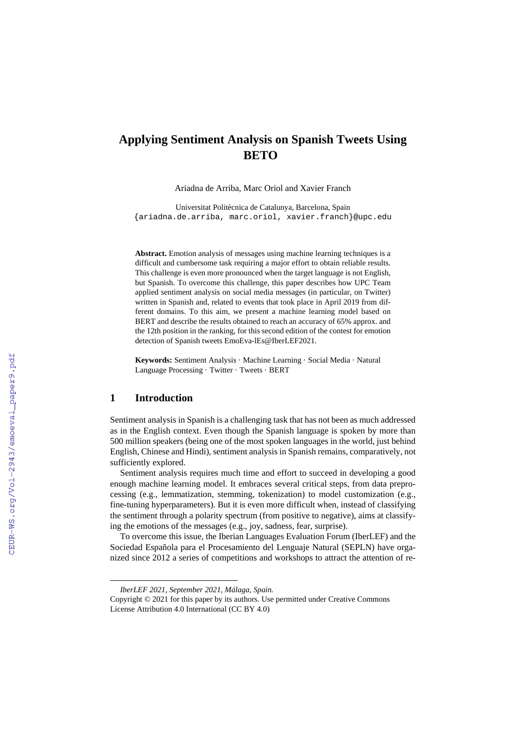# **Applying Sentiment Analysis on Spanish Tweets Using BETO[\\*](#page-0-0)**

Ariadna de Arriba, Marc Oriol and Xavier Franch

Universitat Politècnica de Catalunya, Barcelona, Spain {ariadna.de.arriba, marc.oriol, xavier.franch}@upc.edu

Abstract. Emotion analysis of messages using machine learning techniques is a difficult and cumbersome task requiring a major effort to obtain reliable results. This challenge is even more pronounced when the target language is not English, but Spanish. To overcome this challenge, this paper describes how UPC Team applied sentiment analysis on social media messages (in particular, on Twitter) written in Spanish and, related to events that took place in April 2019 from different domains. To this aim, we present a machine learning model based on BERT and describe the results obtained to reach an accuracy of 65% approx. and the 12th position in the ranking, for this second edition of the contest for emotion detection of Spanish tweets EmoEva-lEs@IberLEF2021.

**Keywords:** Sentiment Analysis · Machine Learning · Social Media · Natural Language Processing · Twitter · Tweets · BERT

#### **1 Introduction**

 $\overline{a}$ 

Sentiment analysis in Spanish is a challenging task that has not been as much addressed as in the English context. Even though the Spanish language is spoken by more than 500 million speakers (being one of the most spoken languages in the world, just behind English, Chinese and Hindi), sentiment analysis in Spanish remains, comparatively, not sufficiently explored.

Sentiment analysis requires much time and effort to succeed in developing a good enough machine learning model. It embraces several critical steps, from data preprocessing (e.g., lemmatization, stemming, tokenization) to model customization (e.g., fine-tuning hyperparameters). But it is even more difficult when, instead of classifying the sentiment through a polarity spectrum (from positive to negative), aims at classifying the emotions of the messages (e.g., joy, sadness, fear, surprise).

To overcome this issue, the Iberian Languages Evaluation Forum (IberLEF) and the Sociedad Española para el Procesamiento del Lenguaje Natural (SEPLN) have organized since 2012 a series of competitions and workshops to attract the attention of re-

*IberLEF 2021, September 2021, Málaga, Spain.*

<span id="page-0-0"></span>Copyright © 2021 for this paper by its authors. Use permitted under Creative Commons License Attribution 4.0 International (CC BY 4.0)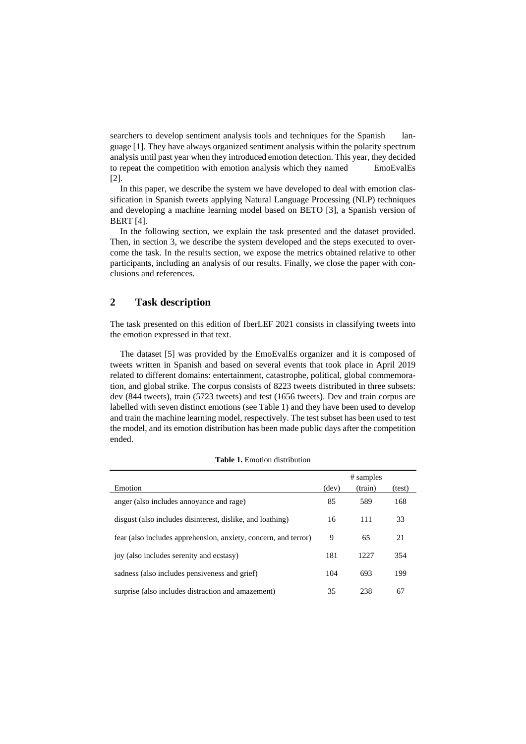searchers to develop sentiment analysis tools and techniques for the Spanish language [1]. They have always organized sentiment analysis within the polarity spectrum analysis until past year when they introduced emotion detection. This year, they decided to repeat the competition with emotion analysis which they named EmoEvalEs [2].

In this paper, we describe the system we have developed to deal with emotion classification in Spanish tweets applying Natural Language Processing (NLP) techniques and developing a machine learning model based on BETO [3], a Spanish version of BERT [4].

In the following section, we explain the task presented and the dataset provided. Then, in section 3, we describe the system developed and the steps executed to overcome the task. In the results section, we expose the metrics obtained relative to other participants, including an analysis of our results. Finally, we close the paper with conclusions and references.

# **2 Task description**

The task presented on this edition of IberLEF 2021 consists in classifying tweets into the emotion expressed in that text.

The dataset [5] was provided by the EmoEvalEs organizer and it is composed of tweets written in Spanish and based on several events that took place in April 2019 related to different domains: entertainment, catastrophe, political, global commemoration, and global strike. The corpus consists of 8223 tweets distributed in three subsets: dev (844 tweets), train (5723 tweets) and test (1656 tweets). Dev and train corpus are labelled with seven distinct emotions (see Table 1) and they have been used to develop and train the machine learning model, respectively. The test subset has been used to test the model, and its emotion distribution has been made public days after the competition ended.

|                                                                 | # samples |         |        |
|-----------------------------------------------------------------|-----------|---------|--------|
| Emotion                                                         | (dev)     | (train) | (test) |
| anger (also includes annoyance and rage)                        | 85        | 589     | 168    |
| disgust (also includes disinterest, dislike, and loathing)      | 16        | 111     | 33     |
| fear (also includes apprehension, anxiety, concern, and terror) | 9         | 65      | 21     |
| joy (also includes serenity and ecstasy)                        | 181       | 1227    | 354    |
| sadness (also includes pensiveness and grief)                   | 104       | 693     | 199    |
| surprise (also includes distraction and amazement)              | 35        | 238     | 67     |

**Table 1.** Emotion distribution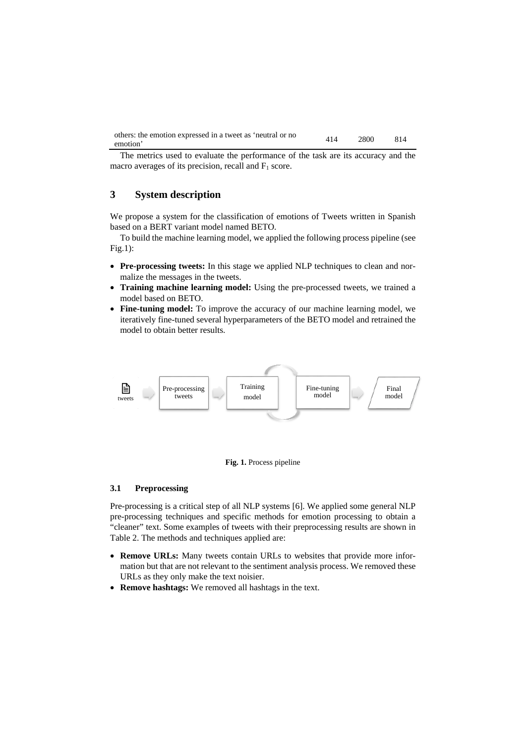| others: the emotion expressed in a tweet as 'neutral or no | 414 | 2800 | 814 |
|------------------------------------------------------------|-----|------|-----|
| emotion'                                                   |     |      |     |

The metrics used to evaluate the performance of the task are its accuracy and the macro averages of its precision, recall and  $F_1$  score.

# **3 System description**

We propose a system for the classification of emotions of Tweets written in Spanish based on a BERT variant model named BETO.

To build the machine learning model, we applied the following process pipeline (see Fig.1):

- **Pre-processing tweets:** In this stage we applied NLP techniques to clean and normalize the messages in the tweets.
- **Training machine learning model:** Using the pre-processed tweets, we trained a model based on BETO.
- **Fine-tuning model:** To improve the accuracy of our machine learning model, we iteratively fine-tuned several hyperparameters of the BETO model and retrained the model to obtain better results.





#### **3.1 Preprocessing**

Pre-processing is a critical step of all NLP systems [6]. We applied some general NLP pre-processing techniques and specific methods for emotion processing to obtain a "cleaner" text. Some examples of tweets with their preprocessing results are shown in Table 2. The methods and techniques applied are:

- **Remove URLs:** Many tweets contain URLs to websites that provide more information but that are not relevant to the sentiment analysis process. We removed these URLs as they only make the text noisier.
- **Remove hashtags:** We removed all hashtags in the text.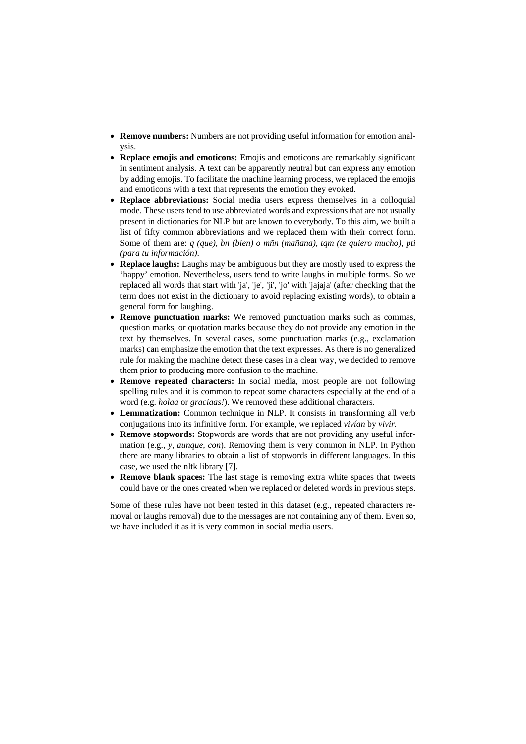- **Remove numbers:** Numbers are not providing useful information for emotion analysis.
- **Replace emojis and emoticons:** Emojis and emoticons are remarkably significant in sentiment analysis. A text can be apparently neutral but can express any emotion by adding emojis. To facilitate the machine learning process, we replaced the emojis and emoticons with a text that represents the emotion they evoked.
- **Replace abbreviations:** Social media users express themselves in a colloquial mode. These users tend to use abbreviated words and expressions that are not usually present in dictionaries for NLP but are known to everybody. To this aim, we built a list of fifty common abbreviations and we replaced them with their correct form. Some of them are: *q (que), bn (bien) o mñn (mañana), tqm (te quiero mucho), pti (para tu información)*.
- **Replace laughs:** Laughs may be ambiguous but they are mostly used to express the 'happy' emotion. Nevertheless, users tend to write laughs in multiple forms. So we replaced all words that start with 'ja', 'je', 'ji', 'jo' with 'jajaja' (after checking that the term does not exist in the dictionary to avoid replacing existing words), to obtain a general form for laughing.
- **Remove punctuation marks:** We removed punctuation marks such as commas, question marks, or quotation marks because they do not provide any emotion in the text by themselves. In several cases, some punctuation marks (e.g., exclamation marks) can emphasize the emotion that the text expresses. As there is no generalized rule for making the machine detect these cases in a clear way, we decided to remove them prior to producing more confusion to the machine.
- **Remove repeated characters:** In social media, most people are not following spelling rules and it is common to repeat some characters especially at the end of a word (e.g. *holaa* or *graciaas!*). We removed these additional characters.
- **Lemmatization:** Common technique in NLP. It consists in transforming all verb conjugations into its infinitive form. For example, we replaced *vivían* by *vivir*.
- **Remove stopwords:** Stopwords are words that are not providing any useful information (e.g., *y, aunque, con*). Removing them is very common in NLP. In Python there are many libraries to obtain a list of stopwords in different languages. In this case, we used the nltk library [7].
- **Remove blank spaces:** The last stage is removing extra white spaces that tweets could have or the ones created when we replaced or deleted words in previous steps.

Some of these rules have not been tested in this dataset (e.g., repeated characters removal or laughs removal) due to the messages are not containing any of them. Even so, we have included it as it is very common in social media users.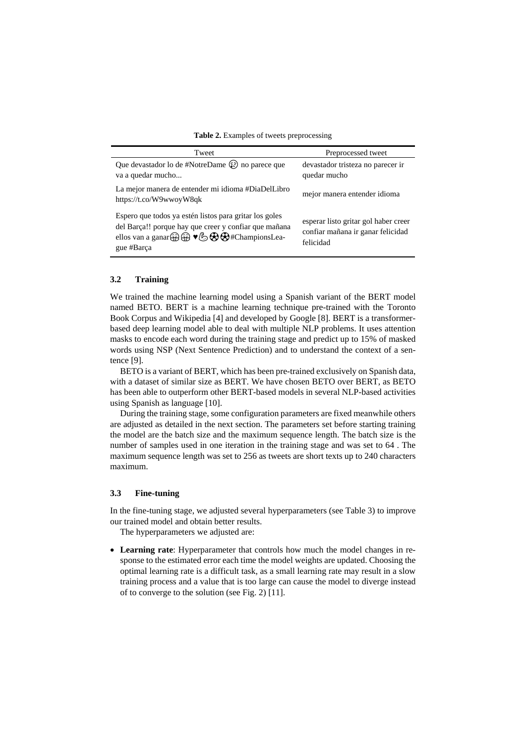**Table 2.** Examples of tweets preprocessing

| Tweet                                                                                                                                                                                                                          | Preprocessed tweet                                                                     |
|--------------------------------------------------------------------------------------------------------------------------------------------------------------------------------------------------------------------------------|----------------------------------------------------------------------------------------|
| Que devastador lo de #NotreDame $\circled{r}$ no parece que<br>va a quedar mucho                                                                                                                                               | devastador tristeza no parecer ir<br>quedar mucho                                      |
| La mejor manera de entender mi idioma #DiaDelLibro<br>https://t.co/W9wwoyW8qk                                                                                                                                                  | mejor manera entender idioma                                                           |
| Espero que todos ya estén listos para gritar los goles<br>del Barça!! porque hay que creer y confiar que mañana<br>ellos van a ganar $\bigoplus$ $\bigoplus$ $\bigotimes$ $\bigoplus$ $\bigoplus$ #ChampionsLea-<br>gue #Barça | esperar listo gritar gol haber creer<br>confiar mañana ir ganar felicidad<br>felicidad |

#### **3.2 Training**

We trained the machine learning model using a Spanish variant of the BERT model named BETO. BERT is a machine learning technique pre-trained with the Toronto Book Corpus and Wikipedia [4] and developed by Google [8]. BERT is a transformerbased deep learning model able to deal with multiple NLP problems. It uses attention masks to encode each word during the training stage and predict up to 15% of masked words using NSP (Next Sentence Prediction) and to understand the context of a sentence [9].

BETO is a variant of BERT, which has been pre-trained exclusively on Spanish data, with a dataset of similar size as BERT. We have chosen BETO over BERT, as BETO has been able to outperform other BERT-based models in several NLP-based activities using Spanish as language [10].

During the training stage, some configuration parameters are fixed meanwhile others are adjusted as detailed in the next section. The parameters set before starting training the model are the batch size and the maximum sequence length. The batch size is the number of samples used in one iteration in the training stage and was set to 64 . The maximum sequence length was set to 256 as tweets are short texts up to 240 characters maximum.

#### **3.3 Fine-tuning**

In the fine-tuning stage, we adjusted several hyperparameters (see Table 3) to improve our trained model and obtain better results.

The hyperparameters we adjusted are:

• **Learning rate**: Hyperparameter that controls how much the model changes in response to the estimated error each time the model weights are updated. Choosing the optimal learning rate is a difficult task, as a small learning rate may result in a slow training process and a value that is too large can cause the model to diverge instead of to converge to the solution (see Fig. 2) [11].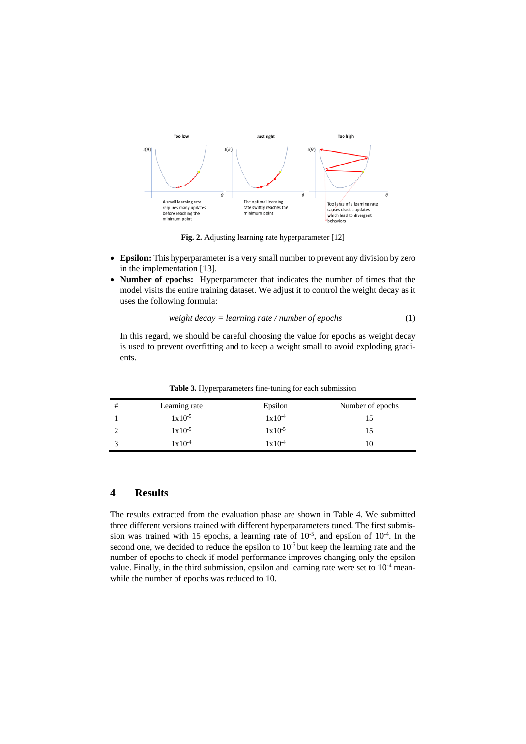

**Fig. 2.** Adjusting learning rate hyperparameter [12]

- **Epsilon:** This hyperparameter is a very small number to prevent any division by zero in the implementation [13].
- **Number of epochs:** Hyperparameter that indicates the number of times that the model visits the entire training dataset. We adjust it to control the weight decay as it uses the following formula:

$$
weight decay = learning rate / number of epochs
$$
\n
$$
(1)
$$

In this regard, we should be careful choosing the value for epochs as weight decay is used to prevent overfitting and to keep a weight small to avoid exploding gradients.

| # | Learning rate      | Epsilon     | Number of epochs |
|---|--------------------|-------------|------------------|
|   | $1x10^{-5}$        | $1x10^{-4}$ |                  |
|   | $1x10^{-5}$        | $1x10^{-5}$ |                  |
|   | $1 \times 10^{-4}$ | $1x10^{-4}$ |                  |

**Table 3.** Hyperparameters fine-tuning for each submission

#### **4 Results**

The results extracted from the evaluation phase are shown in Table 4. We submitted three different versions trained with different hyperparameters tuned. The first submission was trained with 15 epochs, a learning rate of  $10^{-5}$ , and epsilon of  $10^{-4}$ . In the second one, we decided to reduce the epsilon to  $10^{-5}$  but keep the learning rate and the number of epochs to check if model performance improves changing only the epsilon value. Finally, in the third submission, epsilon and learning rate were set to  $10^{-4}$  meanwhile the number of epochs was reduced to 10.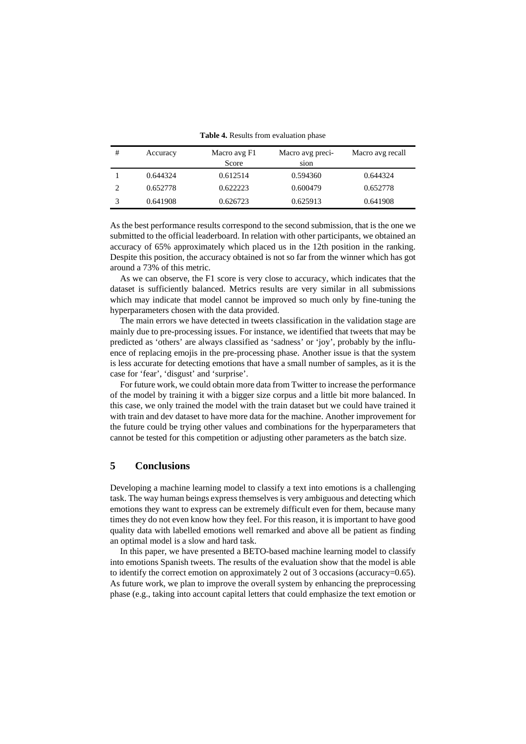| # | Accuracy | Macro avg F1<br>Score | Macro avg preci-<br>sion | Macro avg recall |
|---|----------|-----------------------|--------------------------|------------------|
|   | 0.644324 | 0.612514              | 0.594360                 | 0.644324         |
|   | 0.652778 | 0.622223              | 0.600479                 | 0.652778         |
|   | 0.641908 | 0.626723              | 0.625913                 | 0.641908         |

**Table 4.** Results from evaluation phase

As the best performance results correspond to the second submission, that is the one we submitted to the official leaderboard. In relation with other participants, we obtained an accuracy of 65% approximately which placed us in the 12th position in the ranking. Despite this position, the accuracy obtained is not so far from the winner which has got around a 73% of this metric.

As we can observe, the F1 score is very close to accuracy, which indicates that the dataset is sufficiently balanced. Metrics results are very similar in all submissions which may indicate that model cannot be improved so much only by fine-tuning the hyperparameters chosen with the data provided.

The main errors we have detected in tweets classification in the validation stage are mainly due to pre-processing issues. For instance, we identified that tweets that may be predicted as 'others' are always classified as 'sadness' or 'joy', probably by the influence of replacing emojis in the pre-processing phase. Another issue is that the system is less accurate for detecting emotions that have a small number of samples, as it is the case for 'fear', 'disgust' and 'surprise'.

For future work, we could obtain more data from Twitter to increase the performance of the model by training it with a bigger size corpus and a little bit more balanced. In this case, we only trained the model with the train dataset but we could have trained it with train and dev dataset to have more data for the machine. Another improvement for the future could be trying other values and combinations for the hyperparameters that cannot be tested for this competition or adjusting other parameters as the batch size.

## **5 Conclusions**

Developing a machine learning model to classify a text into emotions is a challenging task. The way human beings express themselves is very ambiguous and detecting which emotions they want to express can be extremely difficult even for them, because many times they do not even know how they feel. For this reason, it is important to have good quality data with labelled emotions well remarked and above all be patient as finding an optimal model is a slow and hard task.

In this paper, we have presented a BETO-based machine learning model to classify into emotions Spanish tweets. The results of the evaluation show that the model is able to identify the correct emotion on approximately 2 out of 3 occasions (accuracy=0.65). As future work, we plan to improve the overall system by enhancing the preprocessing phase (e.g., taking into account capital letters that could emphasize the text emotion or